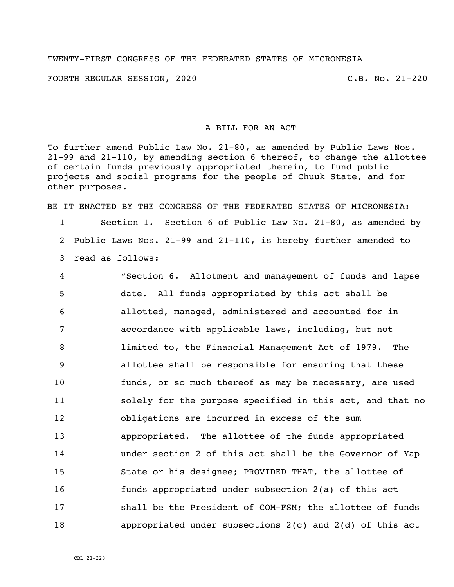## TWENTY-FIRST CONGRESS OF THE FEDERATED STATES OF MICRONESIA

FOURTH REGULAR SESSION, 2020 C.B. No. 21-220

i<br>L

## A BILL FOR AN ACT

To further amend Public Law No. 21-80, as amended by Public Laws Nos. 21-99 and 21-110, by amending section 6 thereof, to change the allottee of certain funds previously appropriated therein, to fund public projects and social programs for the people of Chuuk State, and for other purposes.

BE IT ENACTED BY THE CONGRESS OF THE FEDERATED STATES OF MICRONESIA:

 Section 1. Section 6 of Public Law No. 21-80, as amended by Public Laws Nos. 21-99 and 21-110, is hereby further amended to read as follows:

 "Section 6. Allotment and management of funds and lapse date. All funds appropriated by this act shall be allotted, managed, administered and accounted for in accordance with applicable laws, including, but not limited to, the Financial Management Act of 1979. The allottee shall be responsible for ensuring that these funds, or so much thereof as may be necessary, are used solely for the purpose specified in this act, and that no obligations are incurred in excess of the sum appropriated. The allottee of the funds appropriated under section 2 of this act shall be the Governor of Yap State or his designee; PROVIDED THAT, the allottee of funds appropriated under subsection 2(a) of this act shall be the President of COM-FSM; the allottee of funds appropriated under subsections 2(c) and 2(d) of this act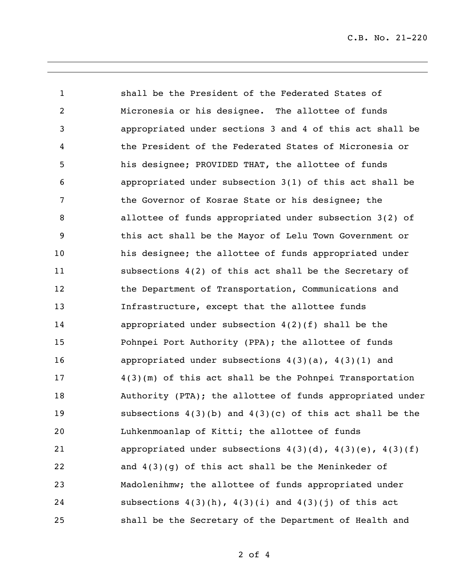C.B. No. 21-220

 shall be the President of the Federated States of Micronesia or his designee. The allottee of funds appropriated under sections 3 and 4 of this act shall be the President of the Federated States of Micronesia or his designee; PROVIDED THAT, the allottee of funds appropriated under subsection 3(1) of this act shall be the Governor of Kosrae State or his designee; the allottee of funds appropriated under subsection 3(2) of this act shall be the Mayor of Lelu Town Government or his designee; the allottee of funds appropriated under subsections 4(2) of this act shall be the Secretary of 12 the Department of Transportation, Communications and Infrastructure, except that the allottee funds appropriated under subsection 4(2)(f) shall be the Pohnpei Port Authority (PPA); the allottee of funds appropriated under subsections 4(3)(a), 4(3)(1) and 4(3)(m) of this act shall be the Pohnpei Transportation Authority (PTA); the allottee of funds appropriated under subsections 4(3)(b) and 4(3)(c) of this act shall be the Luhkenmoanlap of Kitti; the allottee of funds 21 appropriated under subsections  $4(3)(d)$ ,  $4(3)(e)$ ,  $4(3)(f)$  and 4(3)(g) of this act shall be the Meninkeder of Madolenihmw; the allottee of funds appropriated under 24 subsections  $4(3)(h)$ ,  $4(3)(i)$  and  $4(3)(j)$  of this act shall be the Secretary of the Department of Health and

of 4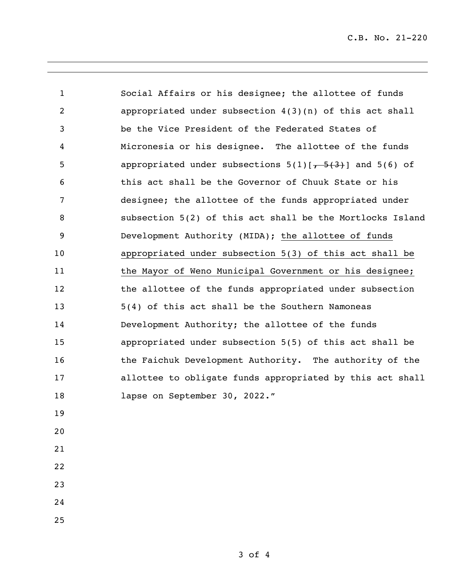C.B. No. 21-220

 Social Affairs or his designee; the allottee of funds appropriated under subsection 4(3)(n) of this act shall be the Vice President of the Federated States of Micronesia or his designee. The allottee of the funds 5 appropriated under subsections  $5(1)[7, 5(3)]$  and  $5(6)$  of this act shall be the Governor of Chuuk State or his designee; the allottee of the funds appropriated under subsection 5(2) of this act shall be the Mortlocks Island Development Authority (MIDA); the allottee of funds appropriated under subsection 5(3) of this act shall be 11 the Mayor of Weno Municipal Government or his designee; 12 the allottee of the funds appropriated under subsection 5(4) of this act shall be the Southern Namoneas Development Authority; the allottee of the funds appropriated under subsection 5(5) of this act shall be 16 the Faichuk Development Authority. The authority of the allottee to obligate funds appropriated by this act shall 18 lapse on September 30, 2022."